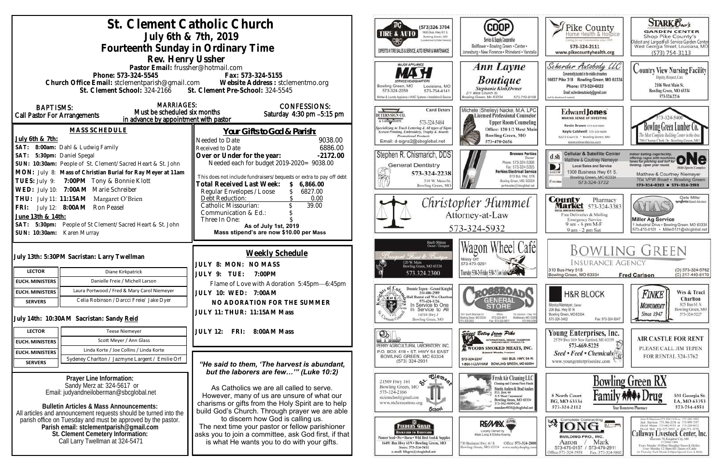| St. Clement Catholic Church<br>July 6th & 7th, 2019                                                                                                                                                                                                 | ТG<br>(573)324 3704<br>1400 Bus. Hwy 61 S.<br><b>TIRE &amp; AUTO</b><br>Bowling Green, MO<br>coord must to Dallar Germany                                                                                                                                                                                                                                                                                                               | (COOP)<br>Service & Supply Cooperative                                                                                                                                                   | Pike County<br>leving for our Governmenties sense 1969                                                                                                                                                        | <b>STARK Oxo's</b><br><b>GARDEN CENTER</b><br>Shop Pike County's                                                                                                                                              |                                                                                                                                                                                                                                                                                                                                                                                                                                |
|-----------------------------------------------------------------------------------------------------------------------------------------------------------------------------------------------------------------------------------------------------|-----------------------------------------------------------------------------------------------------------------------------------------------------------------------------------------------------------------------------------------------------------------------------------------------------------------------------------------------------------------------------------------------------------------------------------------|------------------------------------------------------------------------------------------------------------------------------------------------------------------------------------------|---------------------------------------------------------------------------------------------------------------------------------------------------------------------------------------------------------------|---------------------------------------------------------------------------------------------------------------------------------------------------------------------------------------------------------------|--------------------------------------------------------------------------------------------------------------------------------------------------------------------------------------------------------------------------------------------------------------------------------------------------------------------------------------------------------------------------------------------------------------------------------|
| Fourteenth Sunday in Ordinary Time                                                                                                                                                                                                                  | EXPERTS IN TIRE SALES & SERVICE, AUTO REPAIR & MAINTENANCE                                                                                                                                                                                                                                                                                                                                                                              | Bellflower . Bowling Green . Center .<br>Jonesburg . New Florence . Rhineland . Vandali                                                                                                  | 573-324-2111<br>www.pikecountyhealth.org                                                                                                                                                                      | Oldest and LargestFull-Service Garden Center<br>West Georgia Street, Louisiana, MO<br>$(573) 754 - 3113$                                                                                                      |                                                                                                                                                                                                                                                                                                                                                                                                                                |
| Rev. Henry Ussher<br>Pastor Email: frussher@hotmail.com<br>Phone: 573-324-5545<br>Church Office Email: stclementparish@gmail.com Website Address : stclementmo.org<br>St. Clement Pre-School: 324-5545<br>St. Clement School: 324-2166              | MAJOR APPLIANCE<br>Bowling Green, MO<br>Louisiana, MO<br>573-754-4141<br>573-324-2259<br>Glohen & Laundry Appliance . HVAC Systems . Installation & Service                                                                                                                                                                                                                                                                             | Ann Layne<br><b>Boutique</b><br>Stephanie Klott, Owner<br>211 West Church St.<br>Bowling Green, Mo 63334<br>573-719-9108                                                                 | Scherder Autobody LLC<br>Conveniently located in the middle of nowhere<br>16637 Pike 318 Bowling Green, MO 63334<br>Phone: 573+324+6023<br>Email: scherderautobody@gmail.com<br>call for directions if readed | <b>Country View Nursing Facility</b><br>Dignity, Respect, Care<br>2106 West Main St.<br>Bowling Green, MO 63334<br>573-324-2216                                                                               |                                                                                                                                                                                                                                                                                                                                                                                                                                |
| <b>MARRIAGES:</b><br><b>BAPTISMS:</b><br>Must be scheduled six months<br><b>Call Pastor For Arrangements</b><br>in advance by appointment with pastor                                                                                               | <b>CONFESSIONS:</b><br>Saturday 4:30 pm -5:15 pm                                                                                                                                                                                                                                                                                                                                                                                        | <b>Carol Deters</b><br>DETERS SIGN CO.<br>A LARING SIGHTS<br>573-324-5484                                                                                                                | Michele (Shelley) Nacke, M.A. LPC<br>Licensed Professional Counselor<br><b>Upper Room Counseling</b>                                                                                                          | Edward Jones<br><b>MAKING SENSE OF INVESTING</b><br>Kevin Brown 573-324-6604                                                                                                                                  | Bowling Green Lumber Co.                                                                                                                                                                                                                                                                                                                                                                                                       |
| <b>MASS SCHEDULE</b><br>July 6th & 7th:<br>SAT: 8:00am: Dahl & Ludwig Family                                                                                                                                                                        | Your Gifts to God & Parish:<br>9038.00<br>Needed to Date<br>6886.00<br>Received to Date                                                                                                                                                                                                                                                                                                                                                 | Specializing in Truck Lettering & All types of Signs<br>Screen Printing, Embroidery, Trophy & Awards<br><b>Promotional Products</b><br>Email: d-signs2@sbcglobal.net                     | Office: 120 1/2 West Main<br><b>Bowling Green, MO</b><br>573-470-2656                                                                                                                                         | Kayla Caldwell 573-324-6604<br>822 S Court St * Bowling Green, MO<br>www.edwardjones.com                                                                                                                      | 700 Champ Clark Dr. Bowling Green, M                                                                                                                                                                                                                                                                                                                                                                                           |
| SAT: 5:30pm: Daniel Spegal<br>SUN: 10:30am: People of St. Clement/Sacred Heart & St. John<br>MON: July 8: Mass of Christian Burial for Ray Meyer at 11am<br>TUES: July 9: 7:00PM Tony & Bonnie Klott<br>WED: July 10: 7:00AM Marie Schreiber        | Over or Under for the year:<br>$-2172.00$<br>Needed each for budget 2019-2020= 9038.00<br>This does not include fundraisers/bequests or extra to pay off debt<br>Total Received Last Week:<br>\$6,866.00<br>6827.00                                                                                                                                                                                                                     | Stephen R. Chismarich, DDS<br><b>General Dentistry</b><br>Ž<br>573-324-2238<br>310 W. Main St.<br>Bowling Green, MC                                                                      | <b>Brennen Perkins</b><br>Dwner<br>Phone: 573-324-5366<br>Fax: 573-324-5355<br><b>Perkins Electrical Service</b><br>819 Bus. Hwy. 61N<br>Bowling Green, MO. 63334<br>perkinselec@shcolobal.net                | <b>Cellular &amp; Satellite Center</b><br>$d \, sh$<br>Matthew & Courtney Niemeyer<br><b>Local Sales and Service</b><br>1300 Business Hwy 61 S.<br>Bowling Green, MO 63334<br><b>Kiatokie</b><br>573-324-3722 | Indoor batting cage facility.<br>offering cages with machines ONC<br>lelding. Open year round.<br><b>Milti-Sparts Complex</b><br>Matthew & Courtney Niemeyer<br>704 VFW Road · Bowling Green<br>573-324-8282 0 573-324-2193                                                                                                                                                                                                    |
| THU: July 11: 11:15AM Margaret O'Brien<br>FRI: July 12: 8:00AM Ron Peasel<br>June 13th & 14th:<br>SAT: 5:30pm: People of St Clement/Sacred Heart & St. John<br>SUN: 10:30am: Karen Murray                                                           | Regular Envelopes / Loose<br>0.00<br>Debt Reduction:<br>Catholic Missourian:<br>39.00<br>Communication & Ed.:<br>Three In One:<br>As of July 1st, 2019<br>Mass stipend's are now \$10.00 per Mass                                                                                                                                                                                                                                       |                                                                                                                                                                                          | Christopher Hummel<br>Attorney-at-Law<br>573-324-5932                                                                                                                                                         |                                                                                                                                                                                                               | Clete Miller<br>syngenta Sood Advisor<br>AYLA<br><b>Miller Ag Service</b><br>1 Industrial Drive . Bowling Green, MO 63334<br>573-470-0101 Miller0121@sbcglobal.net                                                                                                                                                                                                                                                             |
| July 13th: 5:30PM Sacristan: Larry Twellman<br><b>LECTOR</b><br>Diane Kirkpatrick                                                                                                                                                                   | Weekly Schedule<br>JULY 8: MON: NOMASS<br>JULY 9: TUE: 7:00PM                                                                                                                                                                                                                                                                                                                                                                           | Barb Shinn<br>Ovoer/Designe<br>Francis de Brussi<br>120 W. Main<br>Bowling Green, MO 63334<br>573.324.2300                                                                               | Wagon Wheel Cafél<br>Missy Orf<br>573-470-0291<br>Thursday 5:30-2 Friday 5:30-2 Cow Sales Company                                                                                                             | <b>INSURANCE AGENCY</b><br>310 Bus Hwy 61S<br>Bowling Green, MO 63334                                                                                                                                         | <b>BOWLING GREEN</b><br>(O) 573-324-5762<br>(C) 217-440-6170<br><b>Fred Carlson</b>                                                                                                                                                                                                                                                                                                                                            |
| Danielle Freie / Michell Larson<br>EUCH. MINISTERS<br>Laura Portwood / Fred & Mary Carol Niemeyer<br><b>EUCH. MINISTERS</b><br>Celia Robinson / Darcci Freie/ Jake Dyer<br><b>SERVERS</b>                                                           | Flame of Love with Adoration 5:45pm-6:45pm<br>JULY 10: WED: 7:00AM<br>NO ADORATION FOR THE SUMMER<br>JULY 11: THUR: 11:15AM Mass                                                                                                                                                                                                                                                                                                        | Donnie Tepen - Grand Knight<br>314-486-2989<br>Hall Rental call Wes Charlton<br><b>X</b> or C<br>573-424-1126<br>t.<br>In Service to One<br>In Service to All<br>14516 Hwy J             | <b>LOBBEOAT</b><br><b>GENERAL</b><br>1001 South Business 61<br>Ofice:<br>110 Johnson - Hwy 19<br>Middietown, MO 6335<br>Bowling Green, MD 63334<br>573-324-6811                                               | <b>H&amp;R BLOCK</b><br>Monica Niemeyer, Owner<br>206 Bus. Hwy 61 N<br>Bowling Green, MO 63334<br>573-324-3402<br>Fax: 573-324-5047                                                                           | Wes & Traci<br>Finke<br>Charlton<br>825 Bus 61 N<br><b>MONUMENT</b><br>Bowling Green, MO<br><b>Since 1947</b><br>573-324-5227                                                                                                                                                                                                                                                                                                  |
| July 14th: 10:30AM Sacristan: Sandy Reid<br><b>LECTOR</b><br><b>Teese Niemeyer</b><br>Scott Meyer / Ann Glass                                                                                                                                       | FRI:<br>JULY 12:<br>8:00AM Mass                                                                                                                                                                                                                                                                                                                                                                                                         | Bowling Green, MO<br>$\mathcal{D}$                                                                                                                                                       | 673-549-209<br>Fax: 573-324-6811<br>Sings Betsy from Pike<br>INTERNATIONAL GRAND CHAMPION                                                                                                                     | Young Enterprises, Inc.<br>25759 Hwy 161 . New Hartford, MO 63359                                                                                                                                             | <b>AIR CASTLE FOR RENT</b>                                                                                                                                                                                                                                                                                                                                                                                                     |
| <b>EUCH. MINISTERS</b><br>Linda Korte / Joe Collins / Linda Korte<br><b>EUCH. MINISTERS</b><br>Sydeney Charlton / Jazmyne Largent / Emilie Orf<br><b>SERVERS</b>                                                                                    | "He said to them, 'The harvest is abundant,                                                                                                                                                                                                                                                                                                                                                                                             | PERRY AGRICULTURAL LABORATORY, INC.<br>P.O. BOX 418 . ST. HWY 54 EAST<br>BOWLING GREEN, MO 63334<br>$(573)$ 324-2931                                                                     | <b>WOODS SMOKED MEATS, INC.</b><br><b>Edward Woods, President</b><br>1501 BUS, HWY, 54 W<br>573-324-2247<br>1-800-I-LUV-HAM BOWLING GREEN, MO 63334                                                           | 573-669-5225<br>Seed • Feed • Chemicals<br>www.youngenterprisesinc.com                                                                                                                                        | PLEASE CALL JIM TEPEN<br>FOR RENTAL 324-3762                                                                                                                                                                                                                                                                                                                                                                                   |
| Prayer Line Information:<br>Sandy Merz at: 324-5617 or<br>Email: judyandneiloberman@sbcqlobal.net<br><b>Bulletin Articles &amp; Mass Announcements:</b>                                                                                             | but the laborers are few"" (Luke 10:2)<br>As Catholics we are all called to serve.<br>However, many of us are unsure of what our<br>charisms or gifts from the Holy Spirit are to help<br>build God's Church. Through prayer we are able<br>to discern how God is calling us.<br>The next time your pastor or fellow parishioner<br>asks you to join a committee, ask God first, if that<br>is what He wants you to do with your gifts. | $\overline{\text{e}_{\text{e}_{m_{e_{2}}}}}$<br>$\mathfrak{S}$<br>21509 Hwy 161<br>Bowling Green, MO<br>573-324-2166<br>stelemschool@gmail.com<br>www.stclementmo.org<br><b>School</b>   | Fresh Air Cleaning LLC<br>Cleaning and Custom Floor Finish<br>Martin Anders & Brad Anders<br>P.O. Box 44<br>315 West Centennial<br>Bowling Green, MO 63334<br>573-592-9899 Cell<br>manders4036@sbcglobal.net  | 8 North Court<br>BG, MO 63334<br>573-324-2112                                                                                                                                                                 | <b>Bowling Green RX</b><br>301 Georgia St.<br>LA, MO 63353<br>573-754-4551<br>Your Hometown Pharmacy                                                                                                                                                                                                                                                                                                                           |
| All articles and announcement requests should be turned into the<br>parish office on Tuesday and must be approved by the pastor.<br>Parish email: stclementparish@gmail.com<br>St. Clement Cemetery Information:<br>Call Larry Twellman at 324-5471 |                                                                                                                                                                                                                                                                                                                                                                                                                                         | FEEDERS GRAIN<br>ВАСКУЛЯВ ТО ВЛЕНУАКО-<br>Seed + Pet . Horse . Wild Hird Feed & Supplies<br>16491 Bus Hwy 61N . Bowling Green, MO<br>Store: 573-324-5411<br>e-mail: fdsgrn@sbcglobal.net | RE/MIX<br>Locally Owned by<br>Office: 573-324-2800<br>730 Business Hwy. 61 S<br>Bowling Green, MO 63334 www.realtyshopbg.com                                                                                  | <b>A Complete Contracting</b><br><b>BUILDING PRO., INC.</b><br>Mark<br>Aaron<br>573-470-0157 / 573-470-2911<br>Office:573-324-5958<br>Fax: 573-324-980                                                        | John P. Harrison 573-386-5150 or 573-220-1482<br>Jack Hurrison 573-386-2138 or 573-999-7197<br>David Means 573-642-9753 st 573-220-0472<br>David Bell 816-527-5633 or 660-721-1370<br>Callaway Livestock Center, Inc.<br>rstate 70, Kingdoni City, MO.<br>573-642-7486<br>Every Monday 10:00am Sloughter Steers & Heilers<br>Every Meralay 12:30pm All Classes of Cattle<br>at Thursday Each Month 6:00pm Special Cow & Bulls. |